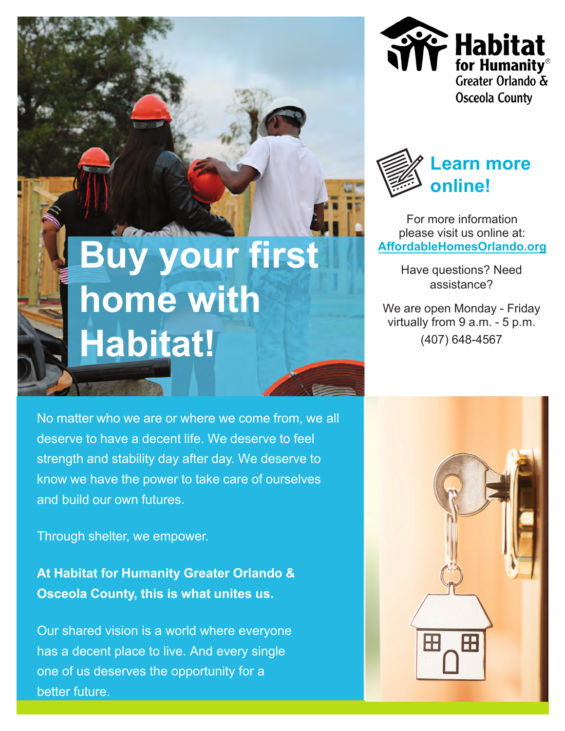



For more information please visit us online at: **[AffordableHomesOrlando.org](https://www.affordablehomesorlando.org/)**

> Have questions? Need assistance?

We are open Monday - Friday virtually from 9 a.m. - 5 p.m. (407) 648-4567

## **Buy your first home with Habitat!**

No matter who we are or where we come from, we all deserve to have a decent life. We deserve to feel strength and stability day after day. We deserve to know we have the power to take care of ourselves and build our own futures.

Through shelter, we empower.

**At Habitat for Humanity Greater Orlando & Osceola County, this is what unites us.**

Our shared vision is a world where everyone has a decent place to live. And every single one of us deserves the opportunity for a better future.